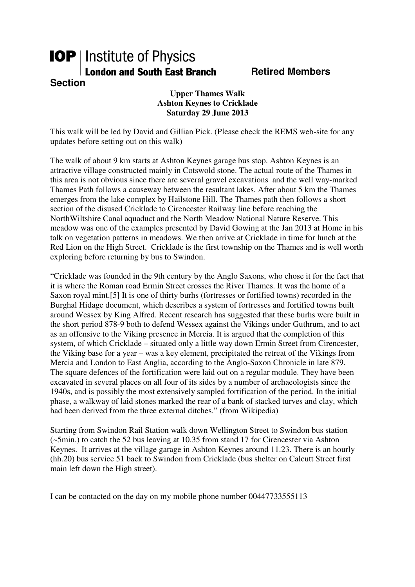## **IOP** | Institute of Physics **London and South East Branch Fig. 8. Retired Members Section**

**Upper Thames Walk Ashton Keynes to Cricklade Saturday 29 June 2013** 

This walk will be led by David and Gillian Pick. (Please check the REMS web-site for any updates before setting out on this walk)

The walk of about 9 km starts at Ashton Keynes garage bus stop. Ashton Keynes is an attractive village constructed mainly in Cotswold stone. The actual route of the Thames in this area is not obvious since there are several gravel excavations and the well way-marked Thames Path follows a causeway between the resultant lakes. After about 5 km the Thames emerges from the lake complex by Hailstone Hill. The Thames path then follows a short section of the disused Cricklade to Cirencester Railway line before reaching the NorthWiltshire Canal aquaduct and the North Meadow National Nature Reserve. This meadow was one of the examples presented by David Gowing at the Jan 2013 at Home in his talk on vegetation patterns in meadows. We then arrive at Cricklade in time for lunch at the Red Lion on the High Street. Cricklade is the first township on the Thames and is well worth exploring before returning by bus to Swindon.

"Cricklade was founded in the 9th century by the Anglo Saxons, who chose it for the fact that it is where the Roman road Ermin Street crosses the River Thames. It was the home of a Saxon royal mint.[5] It is one of thirty burhs (fortresses or fortified towns) recorded in the Burghal Hidage document, which describes a system of fortresses and fortified towns built around Wessex by King Alfred. Recent research has suggested that these burhs were built in the short period 878-9 both to defend Wessex against the Vikings under Guthrum, and to act as an offensive to the Viking presence in Mercia. It is argued that the completion of this system, of which Cricklade – situated only a little way down Ermin Street from Cirencester, the Viking base for a year – was a key element, precipitated the retreat of the Vikings from Mercia and London to East Anglia, according to the Anglo-Saxon Chronicle in late 879. The square defences of the fortification were laid out on a regular module. They have been excavated in several places on all four of its sides by a number of archaeologists since the 1940s, and is possibly the most extensively sampled fortification of the period. In the initial phase, a walkway of laid stones marked the rear of a bank of stacked turves and clay, which had been derived from the three external ditches." (from Wikipedia)

Starting from Swindon Rail Station walk down Wellington Street to Swindon bus station (~5min.) to catch the 52 bus leaving at 10.35 from stand 17 for Cirencester via Ashton Keynes. It arrives at the village garage in Ashton Keynes around 11.23. There is an hourly (hh.20) bus service 51 back to Swindon from Cricklade (bus shelter on Calcutt Street first main left down the High street).

I can be contacted on the day on my mobile phone number 00447733555113